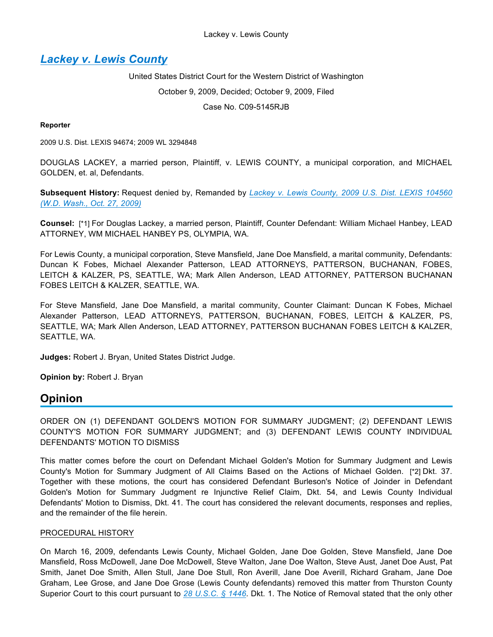United States District Court for the Western District of Washington

October 9, 2009, Decided; October 9, 2009, Filed

Case No. C09-5145RJB

### **Reporter**

2009 U.S. Dist. LEXIS 94674; 2009 WL 3294848

DOUGLAS LACKEY, a married person, Plaintiff, v. LEWIS COUNTY, a municipal corporation, and MICHAEL GOLDEN, et. al, Defendants.

**Subsequent History:** Request denied by, Remanded by *Lackey v. Lewis County, 2009 U.S. Dist. LEXIS 104560 (W.D. Wash., Oct. 27, 2009)*

**Counsel:** [\*1] For Douglas Lackey, a married person, Plaintiff, Counter Defendant: William Michael Hanbey, LEAD ATTORNEY, WM MICHAEL HANBEY PS, OLYMPIA, WA.

For Lewis County, a municipal corporation, Steve Mansfield, Jane Doe Mansfield, a marital community, Defendants: Duncan K Fobes, Michael Alexander Patterson, LEAD ATTORNEYS, PATTERSON, BUCHANAN, FOBES, LEITCH & KALZER, PS, SEATTLE, WA; Mark Allen Anderson, LEAD ATTORNEY, PATTERSON BUCHANAN FOBES LEITCH & KALZER, SEATTLE, WA.

For Steve Mansfield, Jane Doe Mansfield, a marital community, Counter Claimant: Duncan K Fobes, Michael Alexander Patterson, LEAD ATTORNEYS, PATTERSON, BUCHANAN, FOBES, LEITCH & KALZER, PS, SEATTLE, WA; Mark Allen Anderson, LEAD ATTORNEY, PATTERSON BUCHANAN FOBES LEITCH & KALZER, SEATTLE, WA.

**Judges:** Robert J. Bryan, United States District Judge.

**Opinion by:** Robert J. Bryan

# **Opinion**

ORDER ON (1) DEFENDANT GOLDEN'S MOTION FOR SUMMARY JUDGMENT; (2) DEFENDANT LEWIS COUNTY'S MOTION FOR SUMMARY JUDGMENT; and (3) DEFENDANT LEWIS COUNTY INDIVIDUAL DEFENDANTS' MOTION TO DISMISS

This matter comes before the court on Defendant Michael Golden's Motion for Summary Judgment and Lewis County's Motion for Summary Judgment of All Claims Based on the Actions of Michael Golden. [\*2] Dkt. 37. Together with these motions, the court has considered Defendant Burleson's Notice of Joinder in Defendant Golden's Motion for Summary Judgment re Injunctive Relief Claim, Dkt. 54, and Lewis County Individual Defendants' Motion to Dismiss, Dkt. 41. The court has considered the relevant documents, responses and replies, and the remainder of the file herein.

#### PROCEDURAL HISTORY

On March 16, 2009, defendants Lewis County, Michael Golden, Jane Doe Golden, Steve Mansfield, Jane Doe Mansfield, Ross McDowell, Jane Doe McDowell, Steve Walton, Jane Doe Walton, Steve Aust, Janet Doe Aust, Pat Smith, Janet Doe Smith, Allen Stull, Jane Doe Stull, Ron Averill, Jane Doe Averill, Richard Graham, Jane Doe Graham, Lee Grose, and Jane Doe Grose (Lewis County defendants) removed this matter from Thurston County Superior Court to this court pursuant to *28 U.S.C. § 1446*. Dkt. 1. The Notice of Removal stated that the only other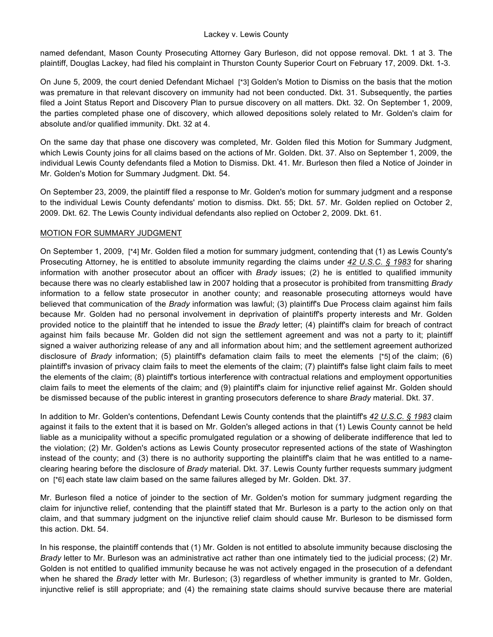named defendant, Mason County Prosecuting Attorney Gary Burleson, did not oppose removal. Dkt. 1 at 3. The plaintiff, Douglas Lackey, had filed his complaint in Thurston County Superior Court on February 17, 2009. Dkt. 1-3.

On June 5, 2009, the court denied Defendant Michael [\*3] Golden's Motion to Dismiss on the basis that the motion was premature in that relevant discovery on immunity had not been conducted. Dkt. 31. Subsequently, the parties filed a Joint Status Report and Discovery Plan to pursue discovery on all matters. Dkt. 32. On September 1, 2009, the parties completed phase one of discovery, which allowed depositions solely related to Mr. Golden's claim for absolute and/or qualified immunity. Dkt. 32 at 4.

On the same day that phase one discovery was completed, Mr. Golden filed this Motion for Summary Judgment, which Lewis County joins for all claims based on the actions of Mr. Golden. Dkt. 37. Also on September 1, 2009, the individual Lewis County defendants filed a Motion to Dismiss. Dkt. 41. Mr. Burleson then filed a Notice of Joinder in Mr. Golden's Motion for Summary Judgment. Dkt. 54.

On September 23, 2009, the plaintiff filed a response to Mr. Golden's motion for summary judgment and a response to the individual Lewis County defendants' motion to dismiss. Dkt. 55; Dkt. 57. Mr. Golden replied on October 2, 2009. Dkt. 62. The Lewis County individual defendants also replied on October 2, 2009. Dkt. 61.

# MOTION FOR SUMMARY JUDGMENT

On September 1, 2009, [\*4] Mr. Golden filed a motion for summary judgment, contending that (1) as Lewis County's Prosecuting Attorney, he is entitled to absolute immunity regarding the claims under *42 U.S.C. § 1983* for sharing information with another prosecutor about an officer with *Brady* issues; (2) he is entitled to qualified immunity because there was no clearly established law in 2007 holding that a prosecutor is prohibited from transmitting *Brady* information to a fellow state prosecutor in another county; and reasonable prosecuting attorneys would have believed that communication of the *Brady* information was lawful; (3) plaintiff's Due Process claim against him fails because Mr. Golden had no personal involvement in deprivation of plaintiff's property interests and Mr. Golden provided notice to the plaintiff that he intended to issue the *Brady* letter; (4) plaintiff's claim for breach of contract against him fails because Mr. Golden did not sign the settlement agreement and was not a party to it; plaintiff signed a waiver authorizing release of any and all information about him; and the settlement agreement authorized disclosure of *Brady* information; (5) plaintiff's defamation claim fails to meet the elements [\*5] of the claim; (6) plaintiff's invasion of privacy claim fails to meet the elements of the claim; (7) plaintiff's false light claim fails to meet the elements of the claim; (8) plaintiff's tortious interference with contractual relations and employment opportunities claim fails to meet the elements of the claim; and (9) plaintiff's claim for injunctive relief against Mr. Golden should be dismissed because of the public interest in granting prosecutors deference to share *Brady* material. Dkt. 37.

In addition to Mr. Golden's contentions, Defendant Lewis County contends that the plaintiff's *42 U.S.C. § 1983* claim against it fails to the extent that it is based on Mr. Golden's alleged actions in that (1) Lewis County cannot be held liable as a municipality without a specific promulgated regulation or a showing of deliberate indifference that led to the violation; (2) Mr. Golden's actions as Lewis County prosecutor represented actions of the state of Washington instead of the county; and (3) there is no authority supporting the plaintiff's claim that he was entitled to a nameclearing hearing before the disclosure of *Brady* material. Dkt. 37. Lewis County further requests summary judgment on [\*6] each state law claim based on the same failures alleged by Mr. Golden. Dkt. 37.

Mr. Burleson filed a notice of joinder to the section of Mr. Golden's motion for summary judgment regarding the claim for injunctive relief, contending that the plaintiff stated that Mr. Burleson is a party to the action only on that claim, and that summary judgment on the injunctive relief claim should cause Mr. Burleson to be dismissed form this action. Dkt. 54.

In his response, the plaintiff contends that (1) Mr. Golden is not entitled to absolute immunity because disclosing the *Brady* letter to Mr. Burleson was an administrative act rather than one intimately tied to the judicial process; (2) Mr. Golden is not entitled to qualified immunity because he was not actively engaged in the prosecution of a defendant when he shared the *Brady* letter with Mr. Burleson; (3) regardless of whether immunity is granted to Mr. Golden, injunctive relief is still appropriate; and (4) the remaining state claims should survive because there are material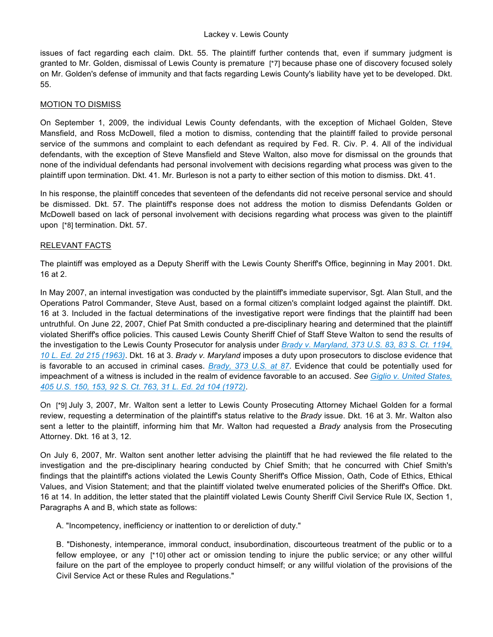issues of fact regarding each claim. Dkt. 55. The plaintiff further contends that, even if summary judgment is granted to Mr. Golden, dismissal of Lewis County is premature [\*7] because phase one of discovery focused solely on Mr. Golden's defense of immunity and that facts regarding Lewis County's liability have yet to be developed. Dkt. 55.

#### MOTION TO DISMISS

On September 1, 2009, the individual Lewis County defendants, with the exception of Michael Golden, Steve Mansfield, and Ross McDowell, filed a motion to dismiss, contending that the plaintiff failed to provide personal service of the summons and complaint to each defendant as required by Fed. R. Civ. P. 4. All of the individual defendants, with the exception of Steve Mansfield and Steve Walton, also move for dismissal on the grounds that none of the individual defendants had personal involvement with decisions regarding what process was given to the plaintiff upon termination. Dkt. 41. Mr. Burleson is not a party to either section of this motion to dismiss. Dkt. 41.

In his response, the plaintiff concedes that seventeen of the defendants did not receive personal service and should be dismissed. Dkt. 57. The plaintiff's response does not address the motion to dismiss Defendants Golden or McDowell based on lack of personal involvement with decisions regarding what process was given to the plaintiff upon [\*8] termination. Dkt. 57.

### RELEVANT FACTS

The plaintiff was employed as a Deputy Sheriff with the Lewis County Sheriff's Office, beginning in May 2001. Dkt. 16 at 2.

In May 2007, an internal investigation was conducted by the plaintiff's immediate supervisor, Sgt. Alan Stull, and the Operations Patrol Commander, Steve Aust, based on a formal citizen's complaint lodged against the plaintiff. Dkt. 16 at 3. Included in the factual determinations of the investigative report were findings that the plaintiff had been untruthful. On June 22, 2007, Chief Pat Smith conducted a pre-disciplinary hearing and determined that the plaintiff violated Sheriff's office policies. This caused Lewis County Sheriff Chief of Staff Steve Walton to send the results of the investigation to the Lewis County Prosecutor for analysis under *Brady v. Maryland, 373 U.S. 83, 83 S. Ct. 1194, 10 L. Ed. 2d 215 (1963)*. Dkt. 16 at 3. *Brady v. Maryland* imposes a duty upon prosecutors to disclose evidence that is favorable to an accused in criminal cases. *Brady, 373 U.S. at 87*. Evidence that could be potentially used for impeachment of a witness is included in the realm of evidence favorable to an accused. *See Giglio v. United States, 405 U.S. 150, 153, 92 S. Ct. 763, 31 L. Ed. 2d 104 (1972)*.

On [\*9] July 3, 2007, Mr. Walton sent a letter to Lewis County Prosecuting Attorney Michael Golden for a formal review, requesting a determination of the plaintiff's status relative to the *Brady* issue. Dkt. 16 at 3. Mr. Walton also sent a letter to the plaintiff, informing him that Mr. Walton had requested a *Brady* analysis from the Prosecuting Attorney. Dkt. 16 at 3, 12.

On July 6, 2007, Mr. Walton sent another letter advising the plaintiff that he had reviewed the file related to the investigation and the pre-disciplinary hearing conducted by Chief Smith; that he concurred with Chief Smith's findings that the plaintiff's actions violated the Lewis County Sheriff's Office Mission, Oath, Code of Ethics, Ethical Values, and Vision Statement; and that the plaintiff violated twelve enumerated policies of the Sheriff's Office. Dkt. 16 at 14. In addition, the letter stated that the plaintiff violated Lewis County Sheriff Civil Service Rule IX, Section 1, Paragraphs A and B, which state as follows:

A. "Incompetency, inefficiency or inattention to or dereliction of duty."

B. "Dishonesty, intemperance, immoral conduct, insubordination, discourteous treatment of the public or to a fellow employee, or any [\*10] other act or omission tending to injure the public service; or any other willful failure on the part of the employee to properly conduct himself; or any willful violation of the provisions of the Civil Service Act or these Rules and Regulations."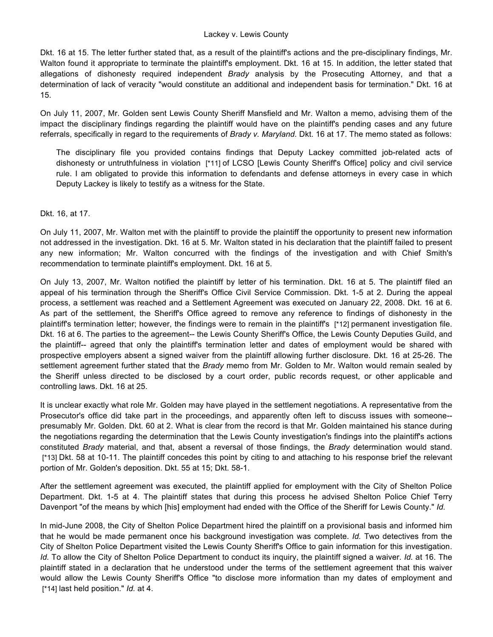Dkt. 16 at 15. The letter further stated that, as a result of the plaintiff's actions and the pre-disciplinary findings, Mr. Walton found it appropriate to terminate the plaintiff's employment. Dkt. 16 at 15. In addition, the letter stated that allegations of dishonesty required independent *Brady* analysis by the Prosecuting Attorney, and that a determination of lack of veracity "would constitute an additional and independent basis for termination." Dkt. 16 at 15.

On July 11, 2007, Mr. Golden sent Lewis County Sheriff Mansfield and Mr. Walton a memo, advising them of the impact the disciplinary findings regarding the plaintiff would have on the plaintiff's pending cases and any future referrals, specifically in regard to the requirements of *Brady v. Maryland.* Dkt. 16 at 17. The memo stated as follows:

The disciplinary file you provided contains findings that Deputy Lackey committed job-related acts of dishonesty or untruthfulness in violation [\*11] of LCSO [Lewis County Sheriff's Office] policy and civil service rule. I am obligated to provide this information to defendants and defense attorneys in every case in which Deputy Lackey is likely to testify as a witness for the State.

# Dkt. 16, at 17.

On July 11, 2007, Mr. Walton met with the plaintiff to provide the plaintiff the opportunity to present new information not addressed in the investigation. Dkt. 16 at 5. Mr. Walton stated in his declaration that the plaintiff failed to present any new information; Mr. Walton concurred with the findings of the investigation and with Chief Smith's recommendation to terminate plaintiff's employment. Dkt. 16 at 5.

On July 13, 2007, Mr. Walton notified the plaintiff by letter of his termination. Dkt. 16 at 5. The plaintiff filed an appeal of his termination through the Sheriff's Office Civil Service Commission. Dkt. 1-5 at 2. During the appeal process, a settlement was reached and a Settlement Agreement was executed on January 22, 2008. Dkt. 16 at 6. As part of the settlement, the Sheriff's Office agreed to remove any reference to findings of dishonesty in the plaintiff's termination letter; however, the findings were to remain in the plaintiff's [\*12] permanent investigation file. Dkt. 16 at 6. The parties to the agreement-- the Lewis County Sheriff's Office, the Lewis County Deputies Guild, and the plaintiff-- agreed that only the plaintiff's termination letter and dates of employment would be shared with prospective employers absent a signed waiver from the plaintiff allowing further disclosure. Dkt. 16 at 25-26. The settlement agreement further stated that the *Brady* memo from Mr. Golden to Mr. Walton would remain sealed by the Sheriff unless directed to be disclosed by a court order, public records request, or other applicable and controlling laws. Dkt. 16 at 25.

It is unclear exactly what role Mr. Golden may have played in the settlement negotiations. A representative from the Prosecutor's office did take part in the proceedings, and apparently often left to discuss issues with someone- presumably Mr. Golden. Dkt. 60 at 2. What is clear from the record is that Mr. Golden maintained his stance during the negotiations regarding the determination that the Lewis County investigation's findings into the plaintiff's actions constituted *Brady* material, and that, absent a reversal of those findings, the *Brady* determination would stand. [\*13] Dkt. 58 at 10-11. The plaintiff concedes this point by citing to and attaching to his response brief the relevant portion of Mr. Golden's deposition. Dkt. 55 at 15; Dkt. 58-1.

After the settlement agreement was executed, the plaintiff applied for employment with the City of Shelton Police Department. Dkt. 1-5 at 4. The plaintiff states that during this process he advised Shelton Police Chief Terry Davenport "of the means by which [his] employment had ended with the Office of the Sheriff for Lewis County." *Id.*

In mid-June 2008, the City of Shelton Police Department hired the plaintiff on a provisional basis and informed him that he would be made permanent once his background investigation was complete. *Id.* Two detectives from the City of Shelton Police Department visited the Lewis County Sheriff's Office to gain information for this investigation. *Id.* To allow the City of Shelton Police Department to conduct its inquiry, the plaintiff signed a waiver. *Id.* at 16. The plaintiff stated in a declaration that he understood under the terms of the settlement agreement that this waiver would allow the Lewis County Sheriff's Office "to disclose more information than my dates of employment and [\*14] last held position." *Id.* at 4.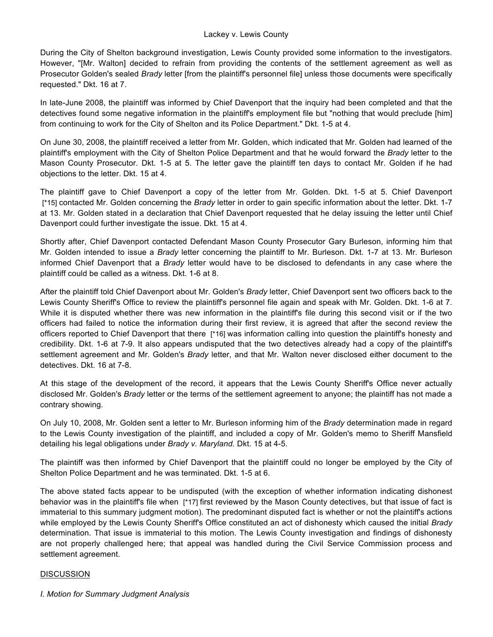During the City of Shelton background investigation, Lewis County provided some information to the investigators. However, "[Mr. Walton] decided to refrain from providing the contents of the settlement agreement as well as Prosecutor Golden's sealed *Brady* letter [from the plaintiff's personnel file] unless those documents were specifically requested." Dkt. 16 at 7.

In late-June 2008, the plaintiff was informed by Chief Davenport that the inquiry had been completed and that the detectives found some negative information in the plaintiff's employment file but "nothing that would preclude [him] from continuing to work for the City of Shelton and its Police Department." Dkt. 1-5 at 4.

On June 30, 2008, the plaintiff received a letter from Mr. Golden, which indicated that Mr. Golden had learned of the plaintiff's employment with the City of Shelton Police Department and that he would forward the *Brady* letter to the Mason County Prosecutor. Dkt. 1-5 at 5. The letter gave the plaintiff ten days to contact Mr. Golden if he had objections to the letter. Dkt. 15 at 4.

The plaintiff gave to Chief Davenport a copy of the letter from Mr. Golden. Dkt. 1-5 at 5. Chief Davenport [\*15] contacted Mr. Golden concerning the *Brady* letter in order to gain specific information about the letter. Dkt. 1-7 at 13. Mr. Golden stated in a declaration that Chief Davenport requested that he delay issuing the letter until Chief Davenport could further investigate the issue. Dkt. 15 at 4.

Shortly after, Chief Davenport contacted Defendant Mason County Prosecutor Gary Burleson, informing him that Mr. Golden intended to issue a *Brady* letter concerning the plaintiff to Mr. Burleson. Dkt. 1-7 at 13. Mr. Burleson informed Chief Davenport that a *Brady* letter would have to be disclosed to defendants in any case where the plaintiff could be called as a witness. Dkt. 1-6 at 8.

After the plaintiff told Chief Davenport about Mr. Golden's *Brady* letter, Chief Davenport sent two officers back to the Lewis County Sheriff's Office to review the plaintiff's personnel file again and speak with Mr. Golden. Dkt. 1-6 at 7. While it is disputed whether there was new information in the plaintiff's file during this second visit or if the two officers had failed to notice the information during their first review, it is agreed that after the second review the officers reported to Chief Davenport that there [\*16] was information calling into question the plaintiff's honesty and credibility. Dkt. 1-6 at 7-9. It also appears undisputed that the two detectives already had a copy of the plaintiff's settlement agreement and Mr. Golden's *Brady* letter, and that Mr. Walton never disclosed either document to the detectives. Dkt. 16 at 7-8.

At this stage of the development of the record, it appears that the Lewis County Sheriff's Office never actually disclosed Mr. Golden's *Brady* letter or the terms of the settlement agreement to anyone; the plaintiff has not made a contrary showing.

On July 10, 2008, Mr. Golden sent a letter to Mr. Burleson informing him of the *Brady* determination made in regard to the Lewis County investigation of the plaintiff, and included a copy of Mr. Golden's memo to Sheriff Mansfield detailing his legal obligations under *Brady v. Maryland.* Dkt. 15 at 4-5.

The plaintiff was then informed by Chief Davenport that the plaintiff could no longer be employed by the City of Shelton Police Department and he was terminated. Dkt. 1-5 at 6.

The above stated facts appear to be undisputed (with the exception of whether information indicating dishonest behavior was in the plaintiff's file when [\*17] first reviewed by the Mason County detectives, but that issue of fact is immaterial to this summary judgment motion). The predominant disputed fact is whether or not the plaintiff's actions while employed by the Lewis County Sheriff's Office constituted an act of dishonesty which caused the initial *Brady* determination. That issue is immaterial to this motion. The Lewis County investigation and findings of dishonesty are not properly challenged here; that appeal was handled during the Civil Service Commission process and settlement agreement.

# **DISCUSSION**

*I. Motion for Summary Judgment Analysis*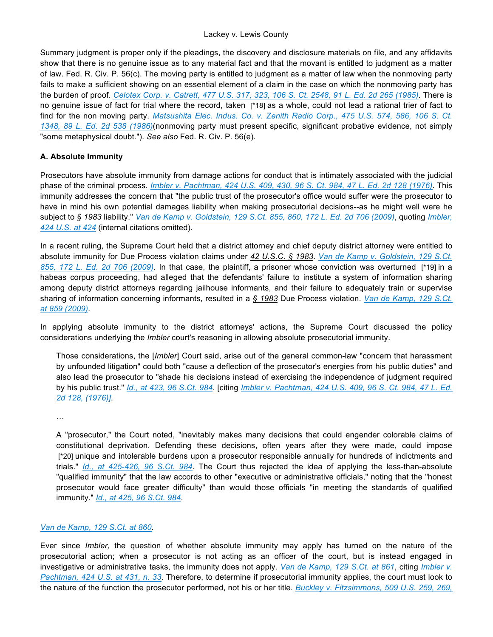Summary judgment is proper only if the pleadings, the discovery and disclosure materials on file, and any affidavits show that there is no genuine issue as to any material fact and that the movant is entitled to judgment as a matter of law. Fed. R. Civ. P. 56(c). The moving party is entitled to judgment as a matter of law when the nonmoving party fails to make a sufficient showing on an essential element of a claim in the case on which the nonmoving party has the burden of proof. *Celotex Corp. v. Catrett, 477 U.S. 317, 323, 106 S. Ct. 2548, 91 L. Ed. 2d 265 (1985)*. There is no genuine issue of fact for trial where the record, taken [\*18] as a whole, could not lead a rational trier of fact to find for the non moving party. *Matsushita Elec. Indus. Co. v. Zenith Radio Corp., 475 U.S. 574, 586, 106 S. Ct. 1348, 89 L. Ed. 2d 538 (1986)*(nonmoving party must present specific, significant probative evidence, not simply "some metaphysical doubt."). *See also* Fed. R. Civ. P. 56(e).

# **A. Absolute Immunity**

Prosecutors have absolute immunity from damage actions for conduct that is intimately associated with the judicial phase of the criminal process. *Imbler v. Pachtman, 424 U.S. 409, 430, 96 S. Ct. 984, 47 L. Ed. 2d 128 (1976)*. This immunity addresses the concern that "the public trust of the prosecutor's office would suffer were the prosecutor to have in mind his own potential damages liability when making prosecutorial decisions--as he might well were he subject to *§ 1983* liability." *Van de Kamp v. Goldstein, 129 S.Ct. 855, 860, 172 L. Ed. 2d 706 (2009)*, quoting *Imbler, 424 U.S. at 424* (internal citations omitted).

In a recent ruling, the Supreme Court held that a district attorney and chief deputy district attorney were entitled to absolute immunity for Due Process violation claims under *42 U.S.C. § 1983*. *Van de Kamp v. Goldstein, 129 S.Ct. 855, 172 L. Ed. 2d 706 (2009)*. In that case, the plaintiff, a prisoner whose conviction was overturned [\*19] in a habeas corpus proceeding, had alleged that the defendants' failure to institute a system of information sharing among deputy district attorneys regarding jailhouse informants, and their failure to adequately train or supervise sharing of information concerning informants, resulted in a *§ 1983* Due Process violation. *Van de Kamp, 129 S.Ct. at 859 (2009)*.

In applying absolute immunity to the district attorneys' actions, the Supreme Court discussed the policy considerations underlying the *Imbler* court's reasoning in allowing absolute prosecutorial immunity.

Those considerations, the [*Imbler*] Court said, arise out of the general common-law "concern that harassment by unfounded litigation" could both "cause a deflection of the prosecutor's energies from his public duties" and also lead the prosecutor to "shade his decisions instead of exercising the independence of judgment required by his public trust." *Id., at 423, 96 S.Ct. 984*. [citing *Imbler v. Pachtman, 424 U.S. 409, 96 S. Ct. 984, 47 L. Ed. 2d 128, (1976)]*.

…

A "prosecutor," the Court noted, "inevitably makes many decisions that could engender colorable claims of constitutional deprivation. Defending these decisions, often years after they were made, could impose [\*20] unique and intolerable burdens upon a prosecutor responsible annually for hundreds of indictments and trials." *Id., at 425-426, 96 S.Ct. 984*. The Court thus rejected the idea of applying the less-than-absolute "qualified immunity" that the law accords to other "executive or administrative officials," noting that the "honest prosecutor would face greater difficulty" than would those officials "in meeting the standards of qualified immunity." *Id., at 425, 96 S.Ct. 984*.

# *Van de Kamp, 129 S.Ct. at 860*.

Ever since *Imbler,* the question of whether absolute immunity may apply has turned on the nature of the prosecutorial action; when a prosecutor is not acting as an officer of the court, but is instead engaged in investigative or administrative tasks, the immunity does not apply. *Van de Kamp, 129 S.Ct. at 861*, citing *Imbler v. Pachtman, 424 U.S. at 431, n. 33*. Therefore, to determine if prosecutorial immunity applies, the court must look to the nature of the function the prosecutor performed, not his or her title. *Buckley v. Fitzsimmons, 509 U.S. 259, 269,*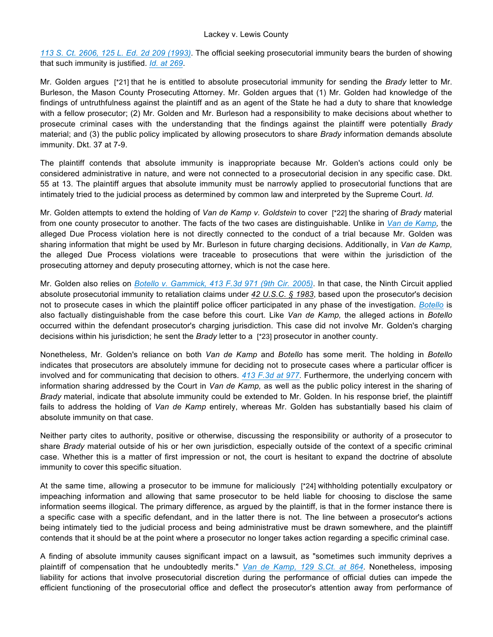*113 S. Ct. 2606, 125 L. Ed. 2d 209 (1993)*. The official seeking prosecutorial immunity bears the burden of showing that such immunity is justified. *Id. at 269*.

Mr. Golden argues [\*21] that he is entitled to absolute prosecutorial immunity for sending the *Brady* letter to Mr. Burleson, the Mason County Prosecuting Attorney. Mr. Golden argues that (1) Mr. Golden had knowledge of the findings of untruthfulness against the plaintiff and as an agent of the State he had a duty to share that knowledge with a fellow prosecutor; (2) Mr. Golden and Mr. Burleson had a responsibility to make decisions about whether to prosecute criminal cases with the understanding that the findings against the plaintiff were potentially *Brady* material; and (3) the public policy implicated by allowing prosecutors to share *Brady* information demands absolute immunity. Dkt. 37 at 7-9.

The plaintiff contends that absolute immunity is inappropriate because Mr. Golden's actions could only be considered administrative in nature, and were not connected to a prosecutorial decision in any specific case. Dkt. 55 at 13. The plaintiff argues that absolute immunity must be narrowly applied to prosecutorial functions that are intimately tried to the judicial process as determined by common law and interpreted by the Supreme Court. *Id.*

Mr. Golden attempts to extend the holding of *Van de Kamp v. Goldstein* to cover [\*22] the sharing of *Brady* material from one county prosecutor to another. The facts of the two cases are distinguishable. Unlike in *Van de Kamp,* the alleged Due Process violation here is not directly connected to the conduct of a trial because Mr. Golden was sharing information that might be used by Mr. Burleson in future charging decisions. Additionally, in *Van de Kamp,* the alleged Due Process violations were traceable to prosecutions that were within the jurisdiction of the prosecuting attorney and deputy prosecuting attorney, which is not the case here.

Mr. Golden also relies on *Botello v. Gammick, 413 F.3d 971 (9th Cir. 2005)*. In that case, the Ninth Circuit applied absolute prosecutorial immunity to retaliation claims under *42 U.S.C. § 1983*, based upon the prosecutor's decision not to prosecute cases in which the plaintiff police officer participated in any phase of the investigation. *Botello* is also factually distinguishable from the case before this court. Like *Van de Kamp,* the alleged actions in *Botello* occurred within the defendant prosecutor's charging jurisdiction. This case did not involve Mr. Golden's charging decisions within his jurisdiction; he sent the *Brady* letter to a [\*23] prosecutor in another county.

Nonetheless, Mr. Golden's reliance on both *Van de Kamp* and *Botello* has some merit. The holding in *Botello* indicates that prosecutors are absolutely immune for deciding not to prosecute cases where a particular officer is involved and for communicating that decision to others. *413 F.3d at 977*. Furthermore, the underlying concern with information sharing addressed by the Court in *Van de Kamp,* as well as the public policy interest in the sharing of *Brady* material, indicate that absolute immunity could be extended to Mr. Golden. In his response brief, the plaintiff fails to address the holding of *Van de Kamp* entirely, whereas Mr. Golden has substantially based his claim of absolute immunity on that case.

Neither party cites to authority, positive or otherwise, discussing the responsibility or authority of a prosecutor to share *Brady* material outside of his or her own jurisdiction, especially outside of the context of a specific criminal case. Whether this is a matter of first impression or not, the court is hesitant to expand the doctrine of absolute immunity to cover this specific situation.

At the same time, allowing a prosecutor to be immune for maliciously [\*24] withholding potentially exculpatory or impeaching information and allowing that same prosecutor to be held liable for choosing to disclose the same information seems illogical. The primary difference, as argued by the plaintiff, is that in the former instance there is a specific case with a specific defendant, and in the latter there is not. The line between a prosecutor's actions being intimately tied to the judicial process and being administrative must be drawn somewhere, and the plaintiff contends that it should be at the point where a prosecutor no longer takes action regarding a specific criminal case.

A finding of absolute immunity causes significant impact on a lawsuit, as "sometimes such immunity deprives a plaintiff of compensation that he undoubtedly merits." *Van de Kamp, 129 S.Ct. at 864*. Nonetheless, imposing liability for actions that involve prosecutorial discretion during the performance of official duties can impede the efficient functioning of the prosecutorial office and deflect the prosecutor's attention away from performance of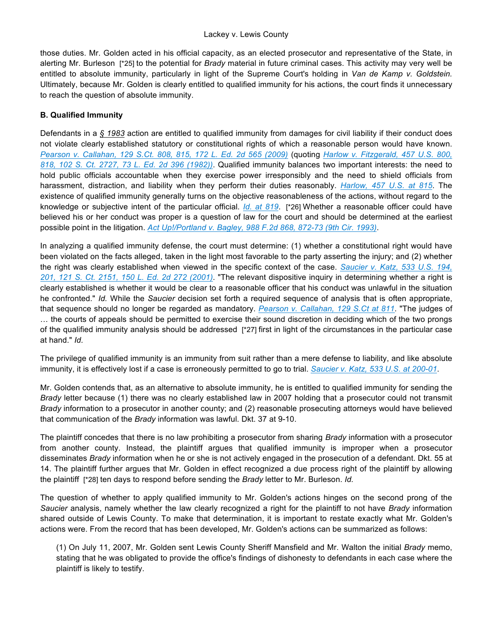those duties. Mr. Golden acted in his official capacity, as an elected prosecutor and representative of the State, in alerting Mr. Burleson [\*25] to the potential for *Brady* material in future criminal cases. This activity may very well be entitled to absolute immunity, particularly in light of the Supreme Court's holding in *Van de Kamp v. Goldstein.* Ultimately, because Mr. Golden is clearly entitled to qualified immunity for his actions, the court finds it unnecessary to reach the question of absolute immunity.

### **B. Qualified Immunity**

Defendants in a *§ 1983* action are entitled to qualified immunity from damages for civil liability if their conduct does not violate clearly established statutory or constitutional rights of which a reasonable person would have known. *Pearson v. Callahan, 129 S.Ct. 808, 815, 172 L. Ed. 2d 565 (2009)* (quoting *Harlow v. Fitzgerald, 457 U.S. 800, 818, 102 S. Ct. 2727, 73 L. Ed. 2d 396 (1982))*. Qualified immunity balances two important interests: the need to hold public officials accountable when they exercise power irresponsibly and the need to shield officials from harassment, distraction, and liability when they perform their duties reasonably. *Harlow, 457 U.S. at 815*. The existence of qualified immunity generally turns on the objective reasonableness of the actions, without regard to the knowledge or subjective intent of the particular official. *Id. at 819*. [\*26] Whether a reasonable officer could have believed his or her conduct was proper is a question of law for the court and should be determined at the earliest possible point in the litigation. *Act Up!/Portland v. Bagley, 988 F.2d 868, 872-73 (9th Cir. 1993)*.

In analyzing a qualified immunity defense, the court must determine: (1) whether a constitutional right would have been violated on the facts alleged, taken in the light most favorable to the party asserting the injury; and (2) whether the right was clearly established when viewed in the specific context of the case. *Saucier v. Katz, 533 U.S. 194, 201, 121 S. Ct. 2151, 150 L. Ed. 2d 272 (2001)*. "The relevant dispositive inquiry in determining whether a right is clearly established is whether it would be clear to a reasonable officer that his conduct was unlawful in the situation he confronted." *Id.* While the *Saucier* decision set forth a required sequence of analysis that is often appropriate, that sequence should no longer be regarded as mandatory. *Pearson v. Callahan, 129 S.Ct at 811*. "The judges of … the courts of appeals should be permitted to exercise their sound discretion in deciding which of the two prongs of the qualified immunity analysis should be addressed [\*27] first in light of the circumstances in the particular case at hand." *Id.*

The privilege of qualified immunity is an immunity from suit rather than a mere defense to liability, and like absolute immunity, it is effectively lost if a case is erroneously permitted to go to trial. *Saucier v. Katz, 533 U.S. at 200-01*.

Mr. Golden contends that, as an alternative to absolute immunity, he is entitled to qualified immunity for sending the *Brady* letter because (1) there was no clearly established law in 2007 holding that a prosecutor could not transmit *Brady* information to a prosecutor in another county; and (2) reasonable prosecuting attorneys would have believed that communication of the *Brady* information was lawful. Dkt. 37 at 9-10.

The plaintiff concedes that there is no law prohibiting a prosecutor from sharing *Brady* information with a prosecutor from another county. Instead, the plaintiff argues that qualified immunity is improper when a prosecutor disseminates *Brady* information when he or she is not actively engaged in the prosecution of a defendant. Dkt. 55 at 14. The plaintiff further argues that Mr. Golden in effect recognized a due process right of the plaintiff by allowing the plaintiff [\*28] ten days to respond before sending the *Brady* letter to Mr. Burleson. *Id.*

The question of whether to apply qualified immunity to Mr. Golden's actions hinges on the second prong of the *Saucier* analysis, namely whether the law clearly recognized a right for the plaintiff to not have *Brady* information shared outside of Lewis County. To make that determination, it is important to restate exactly what Mr. Golden's actions were. From the record that has been developed, Mr. Golden's actions can be summarized as follows:

(1) On July 11, 2007, Mr. Golden sent Lewis County Sheriff Mansfield and Mr. Walton the initial *Brady* memo, stating that he was obligated to provide the office's findings of dishonesty to defendants in each case where the plaintiff is likely to testify.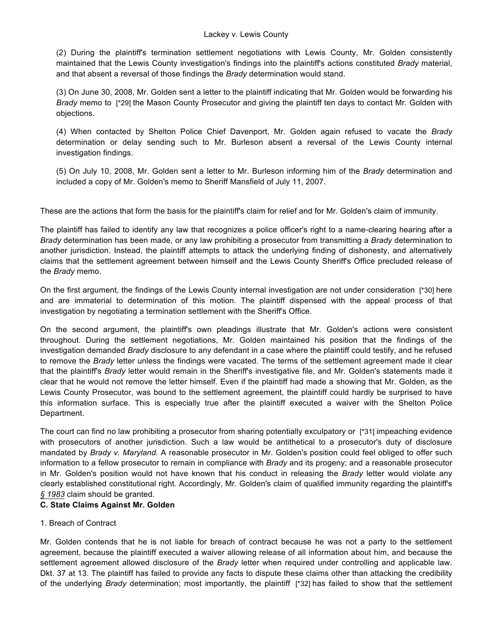(2) During the plaintiff's termination settlement negotiations with Lewis County, Mr. Golden consistently maintained that the Lewis County investigation's findings into the plaintiff's actions constituted *Brady* material, and that absent a reversal of those findings the *Brady* determination would stand.

(3) On June 30, 2008, Mr. Golden sent a letter to the plaintiff indicating that Mr. Golden would be forwarding his *Brady* memo to [\*29] the Mason County Prosecutor and giving the plaintiff ten days to contact Mr. Golden with objections.

(4) When contacted by Shelton Police Chief Davenport, Mr. Golden again refused to vacate the *Brady* determination or delay sending such to Mr. Burleson absent a reversal of the Lewis County internal investigation findings.

(5) On July 10, 2008, Mr. Golden sent a letter to Mr. Burleson informing him of the *Brady* determination and included a copy of Mr. Golden's memo to Sheriff Mansfield of July 11, 2007.

These are the actions that form the basis for the plaintiff's claim for relief and for Mr. Golden's claim of immunity.

The plaintiff has failed to identify any law that recognizes a police officer's right to a name-clearing hearing after a *Brady* determination has been made, or any law prohibiting a prosecutor from transmitting a *Brady* determination to another jurisdiction. Instead, the plaintiff attempts to attack the underlying finding of dishonesty, and alternatively claims that the settlement agreement between himself and the Lewis County Sheriff's Office precluded release of the *Brady* memo.

On the first argument, the findings of the Lewis County internal investigation are not under consideration [\*30] here and are immaterial to determination of this motion. The plaintiff dispensed with the appeal process of that investigation by negotiating a termination settlement with the Sheriff's Office.

On the second argument, the plaintiff's own pleadings illustrate that Mr. Golden's actions were consistent throughout. During the settlement negotiations, Mr. Golden maintained his position that the findings of the investigation demanded *Brady* disclosure to any defendant in a case where the plaintiff could testify, and he refused to remove the *Brady* letter unless the findings were vacated. The terms of the settlement agreement made it clear that the plaintiff's *Brady* letter would remain in the Sheriff's investigative file, and Mr. Golden's statements made it clear that he would not remove the letter himself. Even if the plaintiff had made a showing that Mr. Golden, as the Lewis County Prosecutor, was bound to the settlement agreement, the plaintiff could hardly be surprised to have this information surface. This is especially true after the plaintiff executed a waiver with the Shelton Police Department.

The court can find no law prohibiting a prosecutor from sharing potentially exculpatory or [\*31] impeaching evidence with prosecutors of another jurisdiction. Such a law would be antithetical to a prosecutor's duty of disclosure mandated by *Brady v. Maryland.* A reasonable prosecutor in Mr. Golden's position could feel obliged to offer such information to a fellow prosecutor to remain in compliance with *Brady* and its progeny; and a reasonable prosecutor in Mr. Golden's position would not have known that his conduct in releasing the *Brady* letter would violate any clearly established constitutional right. Accordingly, Mr. Golden's claim of qualified immunity regarding the plaintiff's *§ 1983* claim should be granted.

# **C. State Claims Against Mr. Golden**

# 1. Breach of Contract

Mr. Golden contends that he is not liable for breach of contract because he was not a party to the settlement agreement, because the plaintiff executed a waiver allowing release of all information about him, and because the settlement agreement allowed disclosure of the *Brady* letter when required under controlling and applicable law. Dkt. 37 at 13. The plaintiff has failed to provide any facts to dispute these claims other than attacking the credibility of the underlying *Brady* determination; most importantly, the plaintiff [\*32] has failed to show that the settlement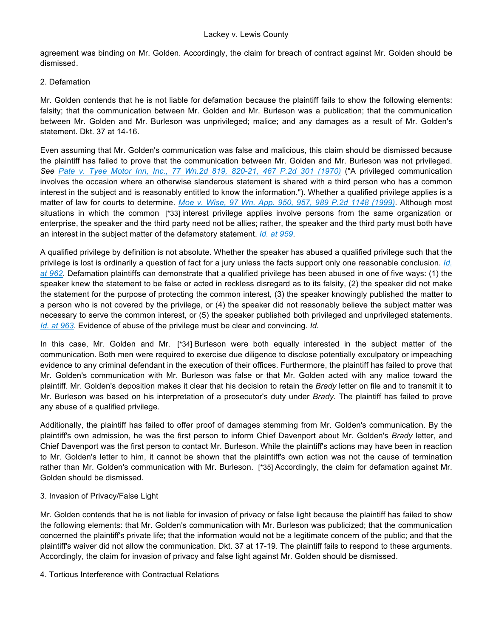agreement was binding on Mr. Golden. Accordingly, the claim for breach of contract against Mr. Golden should be dismissed.

### 2. Defamation

Mr. Golden contends that he is not liable for defamation because the plaintiff fails to show the following elements: falsity; that the communication between Mr. Golden and Mr. Burleson was a publication; that the communication between Mr. Golden and Mr. Burleson was unprivileged; malice; and any damages as a result of Mr. Golden's statement. Dkt. 37 at 14-16.

Even assuming that Mr. Golden's communication was false and malicious, this claim should be dismissed because the plaintiff has failed to prove that the communication between Mr. Golden and Mr. Burleson was not privileged. *See Pate v. Tyee Motor Inn, Inc., 77 Wn.2d 819, 820-21, 467 P.2d 301 (1970)* ("A privileged communication involves the occasion where an otherwise slanderous statement is shared with a third person who has a common interest in the subject and is reasonably entitled to know the information."). Whether a qualified privilege applies is a matter of law for courts to determine. *Moe v. Wise, 97 Wn. App. 950, 957, 989 P.2d 1148 (1999)*. Although most situations in which the common [\*33] interest privilege applies involve persons from the same organization or enterprise, the speaker and the third party need not be allies; rather, the speaker and the third party must both have an interest in the subject matter of the defamatory statement. *Id. at 959*.

A qualified privilege by definition is not absolute. Whether the speaker has abused a qualified privilege such that the privilege is lost is ordinarily a question of fact for a jury unless the facts support only one reasonable conclusion. *Id. at 962*. Defamation plaintiffs can demonstrate that a qualified privilege has been abused in one of five ways: (1) the speaker knew the statement to be false or acted in reckless disregard as to its falsity, (2) the speaker did not make the statement for the purpose of protecting the common interest, (3) the speaker knowingly published the matter to a person who is not covered by the privilege, or (4) the speaker did not reasonably believe the subject matter was necessary to serve the common interest, or (5) the speaker published both privileged and unprivileged statements. *Id. at 963*. Evidence of abuse of the privilege must be clear and convincing. *Id.*

In this case, Mr. Golden and Mr. [\*34] Burleson were both equally interested in the subject matter of the communication. Both men were required to exercise due diligence to disclose potentially exculpatory or impeaching evidence to any criminal defendant in the execution of their offices. Furthermore, the plaintiff has failed to prove that Mr. Golden's communication with Mr. Burleson was false or that Mr. Golden acted with any malice toward the plaintiff. Mr. Golden's deposition makes it clear that his decision to retain the *Brady* letter on file and to transmit it to Mr. Burleson was based on his interpretation of a prosecutor's duty under *Brady.* The plaintiff has failed to prove any abuse of a qualified privilege.

Additionally, the plaintiff has failed to offer proof of damages stemming from Mr. Golden's communication. By the plaintiff's own admission, he was the first person to inform Chief Davenport about Mr. Golden's *Brady* letter, and Chief Davenport was the first person to contact Mr. Burleson. While the plaintiff's actions may have been in reaction to Mr. Golden's letter to him, it cannot be shown that the plaintiff's own action was not the cause of termination rather than Mr. Golden's communication with Mr. Burleson. [\*35] Accordingly, the claim for defamation against Mr. Golden should be dismissed.

#### 3. Invasion of Privacy/False Light

Mr. Golden contends that he is not liable for invasion of privacy or false light because the plaintiff has failed to show the following elements: that Mr. Golden's communication with Mr. Burleson was publicized; that the communication concerned the plaintiff's private life; that the information would not be a legitimate concern of the public; and that the plaintiff's waiver did not allow the communication. Dkt. 37 at 17-19. The plaintiff fails to respond to these arguments. Accordingly, the claim for invasion of privacy and false light against Mr. Golden should be dismissed.

4. Tortious Interference with Contractual Relations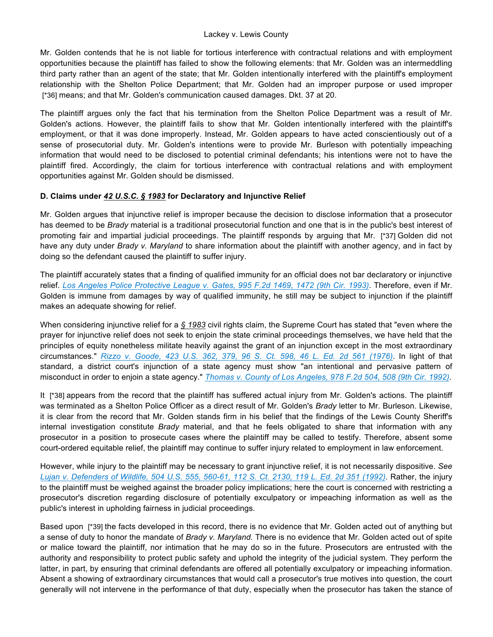Mr. Golden contends that he is not liable for tortious interference with contractual relations and with employment opportunities because the plaintiff has failed to show the following elements: that Mr. Golden was an intermeddling third party rather than an agent of the state; that Mr. Golden intentionally interfered with the plaintiff's employment relationship with the Shelton Police Department; that Mr. Golden had an improper purpose or used improper [\*36] means; and that Mr. Golden's communication caused damages. Dkt. 37 at 20.

The plaintiff argues only the fact that his termination from the Shelton Police Department was a result of Mr. Golden's actions. However, the plaintiff fails to show that Mr. Golden intentionally interfered with the plaintiff's employment, or that it was done improperly. Instead, Mr. Golden appears to have acted conscientiously out of a sense of prosecutorial duty. Mr. Golden's intentions were to provide Mr. Burleson with potentially impeaching information that would need to be disclosed to potential criminal defendants; his intentions were not to have the plaintiff fired. Accordingly, the claim for tortious interference with contractual relations and with employment opportunities against Mr. Golden should be dismissed.

### **D. Claims under** *42 U.S.C. § 1983* **for Declaratory and Injunctive Relief**

Mr. Golden argues that injunctive relief is improper because the decision to disclose information that a prosecutor has deemed to be *Brady* material is a traditional prosecutorial function and one that is in the public's best interest of promoting fair and impartial judicial proceedings. The plaintiff responds by arguing that Mr. [\*37] Golden did not have any duty under *Brady v. Maryland* to share information about the plaintiff with another agency, and in fact by doing so the defendant caused the plaintiff to suffer injury.

The plaintiff accurately states that a finding of qualified immunity for an official does not bar declaratory or injunctive relief. *Los Angeles Police Protective League v. Gates, 995 F.2d 1469, 1472 (9th Cir. 1993)*. Therefore, even if Mr. Golden is immune from damages by way of qualified immunity, he still may be subject to injunction if the plaintiff makes an adequate showing for relief.

When considering injunctive relief for a *§ 1983* civil rights claim, the Supreme Court has stated that "even where the prayer for injunctive relief does not seek to enjoin the state criminal proceedings themselves, we have held that the principles of equity nonetheless militate heavily against the grant of an injunction except in the most extraordinary circumstances." *Rizzo v. Goode, 423 U.S. 362, 379, 96 S. Ct. 598, 46 L. Ed. 2d 561 (1976)*. In light of that standard, a district court's injunction of a state agency must show "an intentional and pervasive pattern of misconduct in order to enjoin a state agency." *Thomas v. County of Los Angeles, 978 F.2d 504, 508 (9th Cir. 1992)*.

It [\*38] appears from the record that the plaintiff has suffered actual injury from Mr. Golden's actions. The plaintiff was terminated as a Shelton Police Officer as a direct result of Mr. Golden's *Brady* letter to Mr. Burleson. Likewise, it is clear from the record that Mr. Golden stands firm in his belief that the findings of the Lewis County Sheriff's internal investigation constitute *Brady* material, and that he feels obligated to share that information with any prosecutor in a position to prosecute cases where the plaintiff may be called to testify. Therefore, absent some court-ordered equitable relief, the plaintiff may continue to suffer injury related to employment in law enforcement.

However, while injury to the plaintiff may be necessary to grant injunctive relief, it is not necessarily dispositive. *See Lujan v. Defenders of Wildlife, 504 U.S. 555, 560-61, 112 S. Ct. 2130, 119 L. Ed. 2d 351 (1992)*. Rather, the injury to the plaintiff must be weighed against the broader policy implications; here the court is concerned with restricting a prosecutor's discretion regarding disclosure of potentially exculpatory or impeaching information as well as the public's interest in upholding fairness in judicial proceedings.

Based upon [\*39] the facts developed in this record, there is no evidence that Mr. Golden acted out of anything but a sense of duty to honor the mandate of *Brady v. Maryland.* There is no evidence that Mr. Golden acted out of spite or malice toward the plaintiff, nor intimation that he may do so in the future. Prosecutors are entrusted with the authority and responsibility to protect public safety and uphold the integrity of the judicial system. They perform the latter, in part, by ensuring that criminal defendants are offered all potentially exculpatory or impeaching information. Absent a showing of extraordinary circumstances that would call a prosecutor's true motives into question, the court generally will not intervene in the performance of that duty, especially when the prosecutor has taken the stance of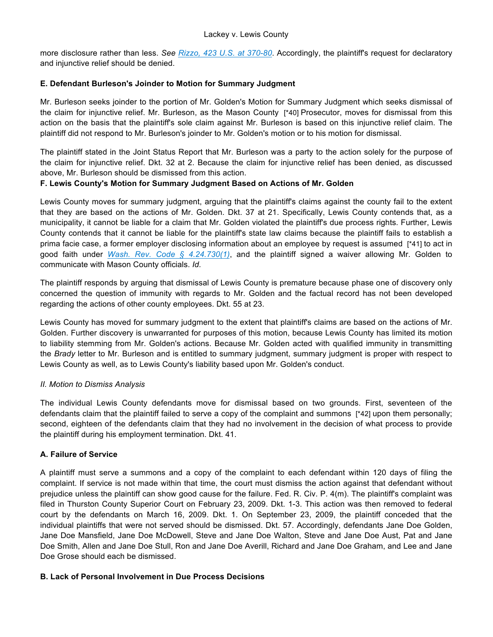more disclosure rather than less. *See Rizzo, 423 U.S. at 370-80*. Accordingly, the plaintiff's request for declaratory and injunctive relief should be denied.

# **E. Defendant Burleson's Joinder to Motion for Summary Judgment**

Mr. Burleson seeks joinder to the portion of Mr. Golden's Motion for Summary Judgment which seeks dismissal of the claim for injunctive relief. Mr. Burleson, as the Mason County [\*40] Prosecutor, moves for dismissal from this action on the basis that the plaintiff's sole claim against Mr. Burleson is based on this injunctive relief claim. The plaintiff did not respond to Mr. Burleson's joinder to Mr. Golden's motion or to his motion for dismissal.

The plaintiff stated in the Joint Status Report that Mr. Burleson was a party to the action solely for the purpose of the claim for injunctive relief. Dkt. 32 at 2. Because the claim for injunctive relief has been denied, as discussed above, Mr. Burleson should be dismissed from this action.

# **F. Lewis County's Motion for Summary Judgment Based on Actions of Mr. Golden**

Lewis County moves for summary judgment, arguing that the plaintiff's claims against the county fail to the extent that they are based on the actions of Mr. Golden. Dkt. 37 at 21. Specifically, Lewis County contends that, as a municipality, it cannot be liable for a claim that Mr. Golden violated the plaintiff's due process rights. Further, Lewis County contends that it cannot be liable for the plaintiff's state law claims because the plaintiff fails to establish a prima facie case, a former employer disclosing information about an employee by request is assumed [\*41] to act in good faith under *Wash. Rev. Code § 4.24.730(1)*, and the plaintiff signed a waiver allowing Mr. Golden to communicate with Mason County officials. *Id.*

The plaintiff responds by arguing that dismissal of Lewis County is premature because phase one of discovery only concerned the question of immunity with regards to Mr. Golden and the factual record has not been developed regarding the actions of other county employees. Dkt. 55 at 23.

Lewis County has moved for summary judgment to the extent that plaintiff's claims are based on the actions of Mr. Golden. Further discovery is unwarranted for purposes of this motion, because Lewis County has limited its motion to liability stemming from Mr. Golden's actions. Because Mr. Golden acted with qualified immunity in transmitting the *Brady* letter to Mr. Burleson and is entitled to summary judgment, summary judgment is proper with respect to Lewis County as well, as to Lewis County's liability based upon Mr. Golden's conduct.

# *II. Motion to Dismiss Analysis*

The individual Lewis County defendants move for dismissal based on two grounds. First, seventeen of the defendants claim that the plaintiff failed to serve a copy of the complaint and summons [\*42] upon them personally; second, eighteen of the defendants claim that they had no involvement in the decision of what process to provide the plaintiff during his employment termination. Dkt. 41.

# **A. Failure of Service**

A plaintiff must serve a summons and a copy of the complaint to each defendant within 120 days of filing the complaint. If service is not made within that time, the court must dismiss the action against that defendant without prejudice unless the plaintiff can show good cause for the failure. Fed. R. Civ. P. 4(m). The plaintiff's complaint was filed in Thurston County Superior Court on February 23, 2009. Dkt. 1-3. This action was then removed to federal court by the defendants on March 16, 2009. Dkt. 1. On September 23, 2009, the plaintiff conceded that the individual plaintiffs that were not served should be dismissed. Dkt. 57. Accordingly, defendants Jane Doe Golden, Jane Doe Mansfield, Jane Doe McDowell, Steve and Jane Doe Walton, Steve and Jane Doe Aust, Pat and Jane Doe Smith, Allen and Jane Doe Stull, Ron and Jane Doe Averill, Richard and Jane Doe Graham, and Lee and Jane Doe Grose should each be dismissed.

# **B. Lack of Personal Involvement in Due Process Decisions**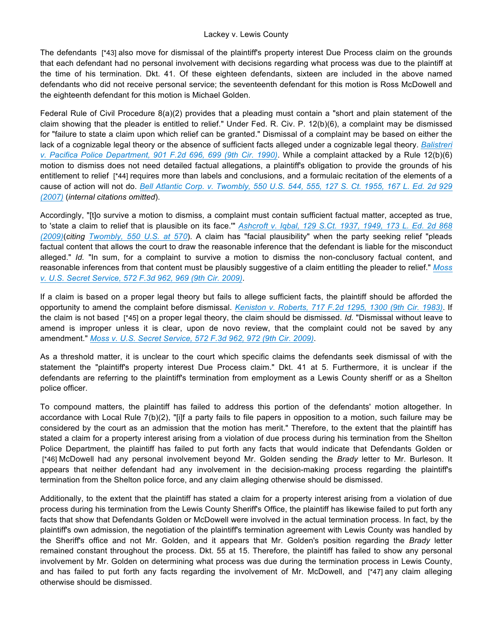The defendants [\*43] also move for dismissal of the plaintiff's property interest Due Process claim on the grounds that each defendant had no personal involvement with decisions regarding what process was due to the plaintiff at the time of his termination. Dkt. 41. Of these eighteen defendants, sixteen are included in the above named defendants who did not receive personal service; the seventeenth defendant for this motion is Ross McDowell and the eighteenth defendant for this motion is Michael Golden.

Federal Rule of Civil Procedure 8(a)(2) provides that a pleading must contain a "short and plain statement of the claim showing that the pleader is entitled to relief." Under Fed. R. Civ. P. 12(b)(6), a complaint may be dismissed for "failure to state a claim upon which relief can be granted." Dismissal of a complaint may be based on either the lack of a cognizable legal theory or the absence of sufficient facts alleged under a cognizable legal theory. *Balistreri v. Pacifica Police Department, 901 F.2d 696, 699 (9th Cir. 1990)*. While a complaint attacked by a Rule 12(b)(6) motion to dismiss does not need detailed factual allegations, a plaintiff's obligation to provide the grounds of his entitlement to relief [\*44] requires more than labels and conclusions, and a formulaic recitation of the elements of a cause of action will not do. *Bell Atlantic Corp. v. Twombly, 550 U.S. 544, 555, 127 S. Ct. 1955, 167 L. Ed. 2d 929 (2007)* (*internal citations omitted*).

Accordingly, "[t]o survive a motion to dismiss, a complaint must contain sufficient factual matter, accepted as true, to 'state a claim to relief that is plausible on its face.'" *Ashcroft v. Iqbal, 129 S.Ct. 1937, 1949, 173 L. Ed. 2d 868 (2009)*(*citing Twombly, 550 U.S. at 570*). A claim has "facial plausibility" when the party seeking relief "pleads factual content that allows the court to draw the reasonable inference that the defendant is liable for the misconduct alleged." *Id.* "In sum, for a complaint to survive a motion to dismiss the non-conclusory factual content, and reasonable inferences from that content must be plausibly suggestive of a claim entitling the pleader to relief." *Moss v. U.S. Secret Service, 572 F.3d 962, 969 (9th Cir. 2009)*.

If a claim is based on a proper legal theory but fails to allege sufficient facts, the plaintiff should be afforded the opportunity to amend the complaint before dismissal. *Keniston v. Roberts, 717 F.2d 1295, 1300 (9th Cir. 1983)*. If the claim is not based [\*45] on a proper legal theory, the claim should be dismissed. *Id.* "Dismissal without leave to amend is improper unless it is clear, upon de novo review, that the complaint could not be saved by any amendment." *Moss v. U.S. Secret Service, 572 F.3d 962, 972 (9th Cir. 2009)*.

As a threshold matter, it is unclear to the court which specific claims the defendants seek dismissal of with the statement the "plaintiff's property interest Due Process claim." Dkt. 41 at 5. Furthermore, it is unclear if the defendants are referring to the plaintiff's termination from employment as a Lewis County sheriff or as a Shelton police officer.

To compound matters, the plaintiff has failed to address this portion of the defendants' motion altogether. In accordance with Local Rule 7(b)(2), "[i]f a party fails to file papers in opposition to a motion, such failure may be considered by the court as an admission that the motion has merit." Therefore, to the extent that the plaintiff has stated a claim for a property interest arising from a violation of due process during his termination from the Shelton Police Department, the plaintiff has failed to put forth any facts that would indicate that Defendants Golden or [\*46] McDowell had any personal involvement beyond Mr. Golden sending the *Brady* letter to Mr. Burleson. It appears that neither defendant had any involvement in the decision-making process regarding the plaintiff's termination from the Shelton police force, and any claim alleging otherwise should be dismissed.

Additionally, to the extent that the plaintiff has stated a claim for a property interest arising from a violation of due process during his termination from the Lewis County Sheriff's Office, the plaintiff has likewise failed to put forth any facts that show that Defendants Golden or McDowell were involved in the actual termination process. In fact, by the plaintiff's own admission, the negotiation of the plaintiff's termination agreement with Lewis County was handled by the Sheriff's office and not Mr. Golden, and it appears that Mr. Golden's position regarding the *Brady* letter remained constant throughout the process. Dkt. 55 at 15. Therefore, the plaintiff has failed to show any personal involvement by Mr. Golden on determining what process was due during the termination process in Lewis County, and has failed to put forth any facts regarding the involvement of Mr. McDowell, and [\*47] any claim alleging otherwise should be dismissed.